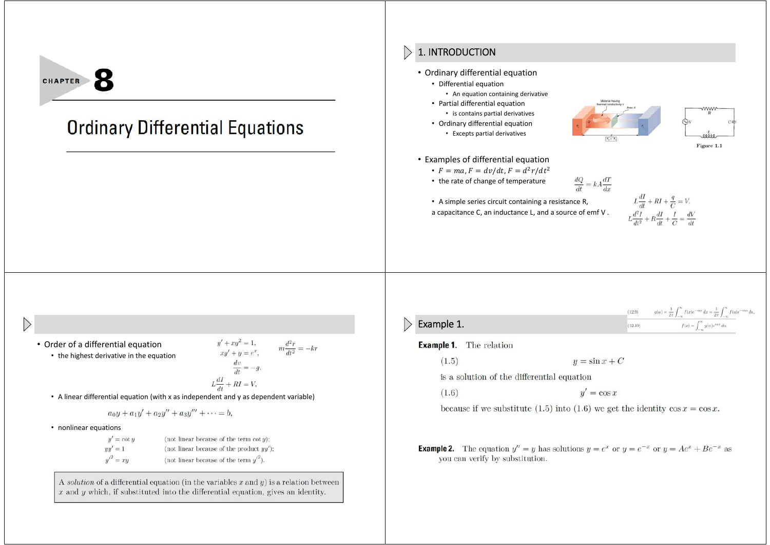# **CHAPTER**

## **Ordinary Differential Equations**

#### $\vert$ 1. INTRODUCTION

- Ordinary differential equation
	- Differential equation
		- An equation containing derivative
	- Partial differential equation
	- is contains partial derivatives
	- Ordinary differential equation • Excepts partial derivatives



 $(12.9)$ 

 $(12.10)$ 



 $\begin{split} g(\alpha) = \frac{1}{2\pi}\int_{-\infty}^{\infty} f(x) e^{-i\alpha x}\,dx &= \frac{1}{2\pi}\int_{-\infty}^{\infty} f(u) e^{-i\alpha u}\,du \\ f(x) &= \int_{-\infty}^{\infty} g(\alpha) e^{i\alpha x}\,d\alpha. \end{split}$ 

• Examples of differential equation

- $F = ma$ ,  $F = dv/dt$ ,  $F = d^2r/dt^2$ 
	- the rate of change of temperature
- A simple series circuit containing a resistance R, a capacitance C, an inductance L, and a source of emf V .



• Order of a differential equation

 $\triangleright$ 

• the highest derivative in the equation

$$
y' + xy^{2} = 1,
$$
  
\n
$$
xy' + y = e^{x},
$$
  
\n
$$
\frac{dv}{dt} = -g,
$$
  
\n
$$
L\frac{dI}{dt} + RI = V,
$$

• A linear differential equation (with x as independent and y as dependent variable)

$$
a_0y + a_1y' + a_2y'' + a_3y''' + \cdots = b
$$

• nonlinear equations

 $y' = \cot y$ (not linear because of the term  $\cot y$ ):  $yy'=1$ (not linear because of the product  $yy'$ );  $y'^2 = xy$ (not linear because of the term  $y'^2$ ).

A *solution* of a differential equation (in the variables x and y) is a relation between  $x$  and  $y$  which, if substituted into the differential equation, gives an identity.

#### Example 1. $\triangleright$

**Example 1.** The relation

 $(1.5)$ 

 $(1.6)$ 

 $y = \sin x + C$ 

 $\frac{dQ}{dt} = kA \frac{dT}{dr}$ 

is a solution of the differential equation

 $y' = \cos x$ 

because if we substitute (1.5) into (1.6) we get the identity  $\cos x = \cos x$ .

**Example 2.** The equation  $y'' = y$  has solutions  $y = e^x$  or  $y = e^{-x}$  or  $y = Ae^x + Be^{-x}$  as you can verify by substitution.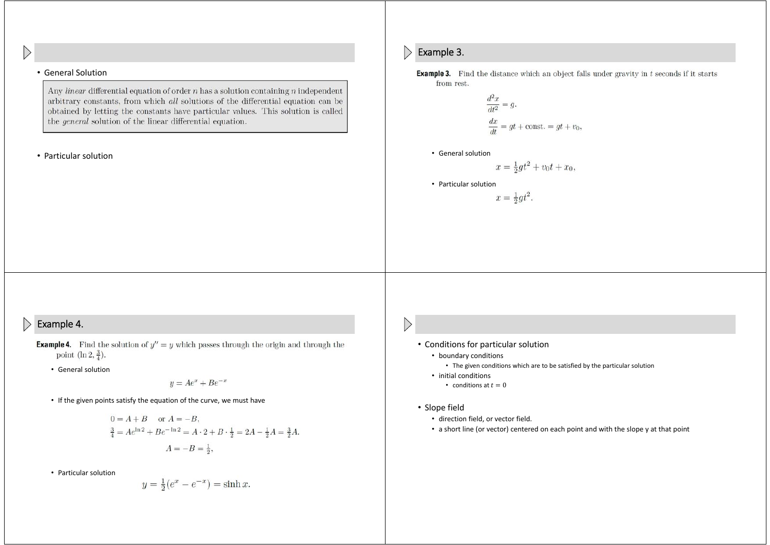#### • General Solution

 $\triangleright$ 

Any *linear* differential equation of order  $n$  has a solution containing  $n$  independent arbitrary constants, from which all solutions of the differential equation can be obtained by letting the constants have particular values. This solution is called the *general* solution of the linear differential equation.

#### • Particular solution

#### Example 3.  $\triangleright$

**Example 3.** Find the distance which an object falls under gravity in  $t$  seconds if it starts from rest.

$$
\frac{d^2x}{dt^2} = g.
$$
  

$$
\frac{dx}{dt} = gt + \text{const.} = gt + v_0
$$

• General solution

$$
x = \frac{1}{2}gt^2 + v_0t + x_0,
$$

• Particular solution

$$
x = \frac{1}{2}gt^2
$$

### Example 4.

 $\triangleright$ 

- **Example 4.** Find the solution of  $y'' = y$  which passes through the origin and through the point  $(\ln 2, \frac{3}{4})$ .
	- General solution

$$
y = Ae^x + Be^{-x}
$$

• If the given points satisfy the equation of the curve, we must have

$$
0 = A + B \quad \text{or } A = -B,
$$
  
\n
$$
\frac{3}{4} = Ae^{\ln 2} + Be^{-\ln 2} = A \cdot 2 + B \cdot \frac{1}{2} = 2A - \frac{1}{2}A = \frac{3}{2}A
$$
  
\n
$$
A = -B = \frac{1}{2},
$$

• Particular solution

$$
y = \frac{1}{2}(e^x - e^{-x}) = \sinh x.
$$

 $\triangleright$ 

- Conditions for particular solution
	- boundary conditions
		- The given conditions which are to be satisfied by the particular solution
	- initial conditions
		- conditions at  $t=0$
- Slope field
	- direction field, or vector field.
	- a short line (or vector) centered on each point and with the slope y at that point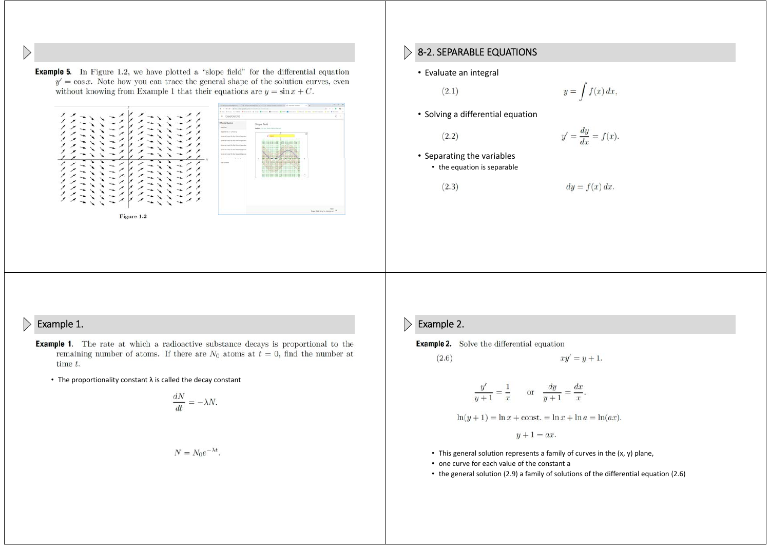**Example 5.** In Figure 1.2, we have plotted a "slope field" for the differential equation  $y' = \cos x$ . Note how you can trace the general shape of the solution curves, even without knowing from Example 1 that their equations are  $y = \sin x + C$ .



#### 8‐2. SEPARABLE EQUATIONS  $\left\vert \right\rangle$

• Evaluate an integral

 $(2.1)$ 

$$
y = \int f(x) \, dx
$$

• Solving a differential equation

 $(2.2)$ 

$$
y' = \frac{dy}{dx} = f(x).
$$

- Separating the variables
	- the equation is separable

 $(2.3)$ 

 $dy = f(x) dx.$ 

## Example 1.

 $\vert$ 

 $\triangleright$ 

- **Example 1.** The rate at which a radioactive substance decays is proportional to the remaining number of atoms. If there are  $N_0$  atoms at  $t = 0$ , find the number at time  $t$ .
	- The proportionality constant  $\lambda$  is called the decay constant

$$
\frac{dN}{dt} = -\lambda N.
$$

 $N = N_0 e^{-\lambda t}$ .

#### Example 2.  $\triangleright$

**Example 2.** Solve the differential equation  $xy' = y + 1.$  $(2.6)$  $\frac{y'}{y+1} = \frac{1}{x}$  or  $\frac{dy}{y+1} = \frac{dx}{x}$ .  $\ln(y+1) = \ln x + \text{const.} = \ln x + \ln a = \ln(ax).$  $y+1=ax.$ • This general solution represents a family of curves in the (x, y) plane, • one curve for each value of the constant a

• the general solution (2.9) a family of solutions of the differential equation (2.6)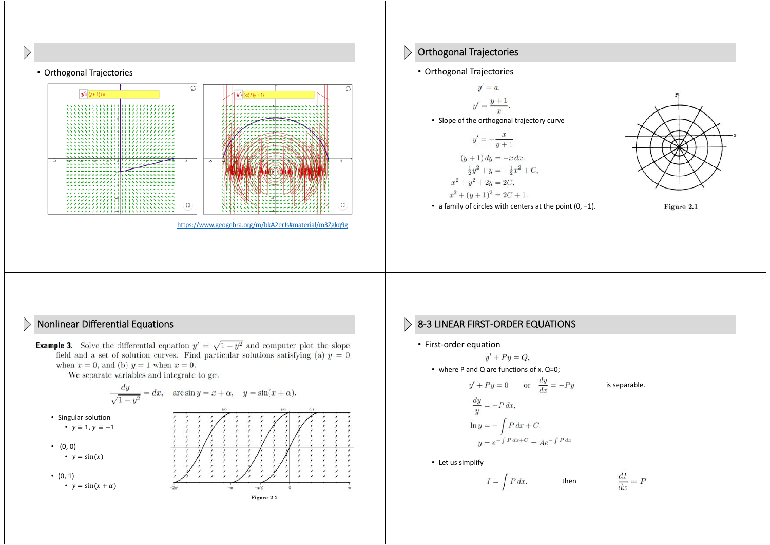

#### Orthogonal Trajectories  $\triangleright$

• Orthogonal Trajectories

$$
y' = a.
$$

$$
y' = \frac{y+1}{x}.
$$

• Slope of the orthogonal trajectory curve



• a family of circles with centers at the point  $(0, -1)$ .





#### **Nonlinear Differential Equations**  $\triangleright$

 $(0, 0)$ 

 $\bullet$  (0, 1)

**Example 3.** Solve the differential equation  $y' = \sqrt{1 - y^2}$  and computer plot the slope field and a set of solution curves. Find particular solutions satisfying (a)  $y = 0$ when  $x = 0$ , and (b)  $y = 1$  when  $x = 0$ .

We separate variables and integrate to get

$$
\frac{dy}{\sqrt{1-y^2}} = dx, \quad \arcsin y = x + \alpha, \quad y = \sin(x + \alpha).
$$
\n
$$
\therefore \text{ Singular solution}
$$
\n
$$
\therefore y = 1, y = -1
$$
\n
$$
\therefore (0, 0)
$$
\n
$$
\therefore y = \sin(x)
$$
\n
$$
\therefore y = \sin(x + \alpha)
$$
\n
$$
\therefore y = \sin(x + \alpha)
$$
\n
$$
\therefore y = \sin(x + \alpha)
$$
\n
$$
\therefore y = \frac{\sin(x + \alpha)}{\alpha}
$$
\n
$$
\therefore y = \frac{\sin(x + \alpha)}{\alpha}
$$
\n
$$
\therefore y = \frac{\sin(x + \alpha)}{\alpha}
$$
\n
$$
\therefore y = \frac{\sin(x + \alpha)}{\alpha}
$$
\n
$$
\therefore y = \frac{\sin(x + \alpha)}{\alpha}
$$
\n
$$
\therefore y = \frac{\sin(x + \alpha)}{\alpha}
$$

#### 8-3 LINEAR FIRST-ORDER EQUATIONS  $\triangleright$

• First-order equation

$$
y' + Py = Q,
$$
  
\n• where P and Q are functions of x. Q=0;  
\n
$$
y' + Py = 0 \qquad \text{or} \quad \frac{dy}{dx} = -Py
$$
  
\n
$$
\frac{dy}{y} = -P dx,
$$
  
\n
$$
\ln y = -\int P dx + C,
$$

 $= P$ 

$$
is \, separable.
$$

$$
\mathcal{L}^{\text{max}}
$$

$$
y = e^{-\int P dx + C} = Ae^{-\int P dx}
$$

• Let us simplify

$$
I = \int P dx.
$$
 then  $\frac{dI}{dx}$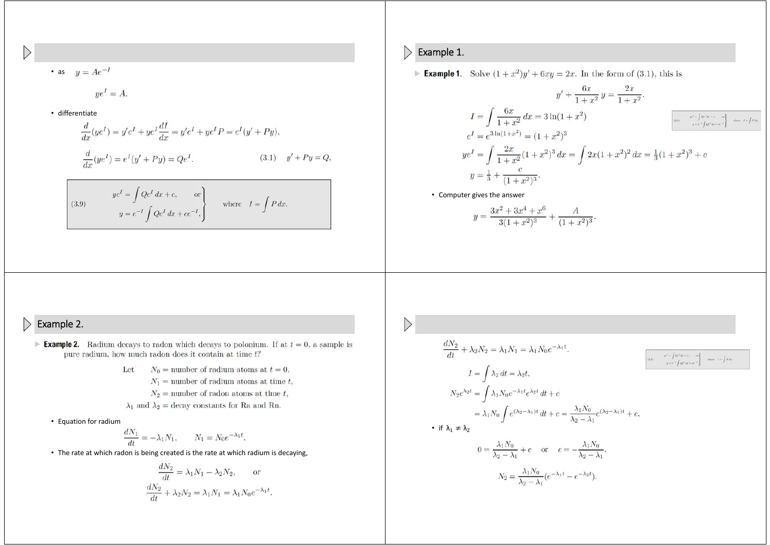• as 
$$
y = Ae^{-I}
$$

 $\triangleright$ 

$$
ye^I = A.
$$

• differentiate

$$
\frac{d}{dx}(ye^I) = y'e^I + ye^I \frac{dI}{dx} = y'e^I + ye^I P = e^I(y' + Py),
$$
  

$$
\frac{d}{dx}(ye^I) = e^I(y' + Py) = Qe^I.
$$
 (3.1)  $y' + Py = Q,$ 

3.9) 
$$
ye^{I} = \int Qe^{I} dx + c, \text{ or}
$$

$$
y = e^{-I} \int Qe^{I} dx + ce^{-I}, \text{ where } I = \int P dx.
$$

#### Example 1.  $\triangleright$

**Example 1.** Solve  $(1+x^2)y' + 6xy = 2x$ . In the form of (3.1), this is

$$
y' + \frac{6x}{1+x^2} y = \frac{2x}{1+x^2}.
$$
  
\n
$$
I = \int \frac{6x}{1+x^2} dx = 3\ln(1+x^2)
$$
  
\n
$$
e^I = e^{3\ln(1+x^2)} = (1+x^2)^3
$$
  
\n
$$
ye^I = \int \frac{2x}{1+x^2} (1+x^2)^3 dx = \int 2x(1+x^2)^2 dx = \frac{1}{3}(1+x^2)^3 + c
$$
  
\n
$$
y = \frac{1}{3} + \frac{c}{(1+x^2)^3}.
$$

 $\label{eq:2.1} \mathbb{P}^{I} \approx \int Q e^{I} \, dx + c, \qquad \text{or}$ 

 $y=e^{-t}\int Qe^T dx+\alpha^{-1}$ 

where  $I=\int P\,dx.$ 

• Computer gives the answer

$$
y = \frac{3x^2 + 3x^4 + x^6}{3(1+x^2)^3} + \frac{A}{(1+x^2)^3}.
$$

Example 2.

 $\triangleright$ 

**Example 2.** Radium decays to radon which decays to polonium. If at  $t = 0$ , a sample is pure radium, how much radon does it contain at time  $t$ ?

> $N_0$  = number of radium atoms at  $t = 0$ . Let  $N_1$  = number of radium atoms at time t,  $N_2$  = number of radon atoms at time t,  $\lambda_1$  and  $\lambda_2$  = decay constants for Ra and Rn.

• Equation for radium

$$
\frac{dN_1}{dt} = -\lambda_1 N_1, \qquad N_1 = N_0 e^{-\lambda_1 t}
$$

• The rate at which radon is being created is the rate at which radium is decaying,

$$
\frac{dN_2}{dt} = \lambda_1 N_1 - \lambda_2 N_2, \quad \text{or}
$$

$$
\frac{dN_2}{dt} + \lambda_2 N_2 = \lambda_1 N_1 = \lambda_1 N_0 e^{-\lambda_1 t}.
$$

$$
\triangleright
$$

•

$$
\frac{dN_2}{dt} + \lambda_2 N_2 = \lambda_1 N_1 = \lambda_1 N_0 e^{-\lambda_1 t}.
$$
  
\n
$$
I = \int \lambda_2 dt = \lambda_2 t,
$$
  
\n
$$
N_2 e^{\lambda_2 t} = \int \lambda_1 N_0 e^{-\lambda_1 t} e^{\lambda_2 t} dt + c
$$
  
\n
$$
= \lambda_1 N_0 \int e^{(\lambda_2 - \lambda_1)t} dt + c = \frac{\lambda_1 N_0}{\lambda_2 - \lambda_1} e^{(\lambda_2 - \lambda_1)t} + c,
$$
  
\n• if  $\lambda_1 \neq \lambda_2$   
\n
$$
0 = \frac{\lambda_1 N_0}{\lambda_2 - \lambda_1} + c \quad \text{or} \quad c = -\frac{\lambda_1 N_0}{\lambda_2 - \lambda_1}.
$$

$$
\lambda_2 - \lambda_1 \qquad \lambda_2 - \lambda_1
$$

$$
N_2 = \frac{\lambda_1 N_0}{\lambda_2 - \lambda_1} (e^{-\lambda_1 t} - e^{-\lambda_2 t}).
$$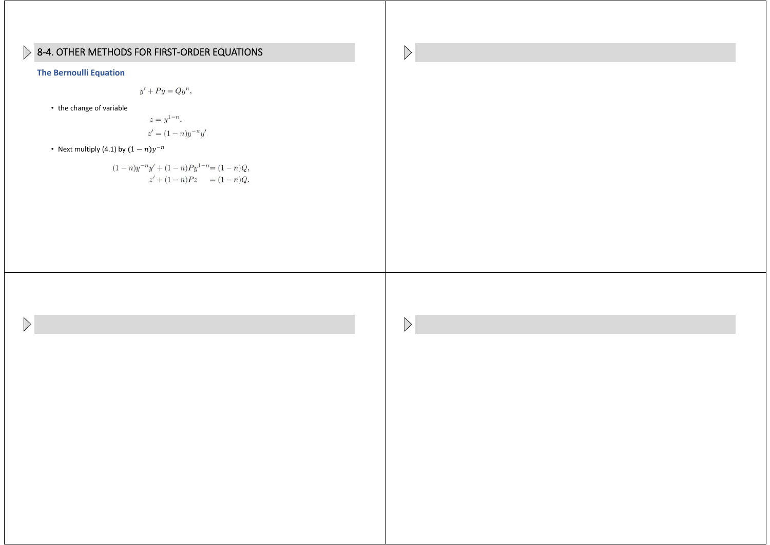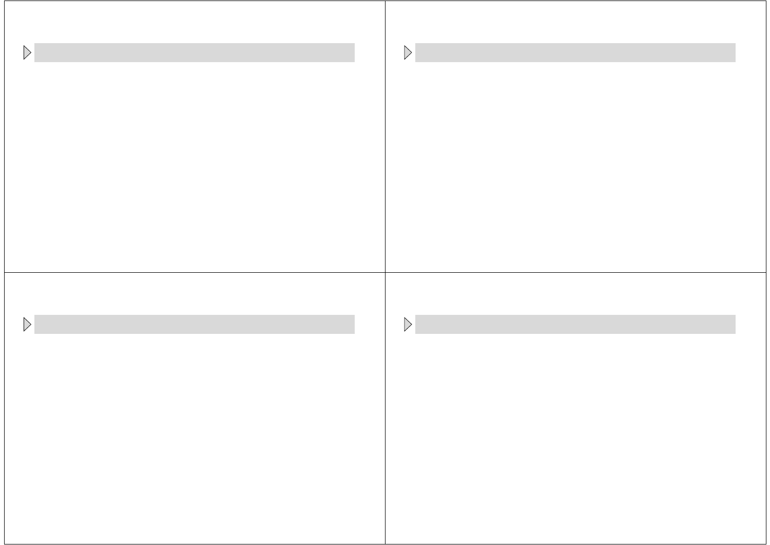| $\begin{array}{c} \diagup \end{array}$ | $\triangleright$ |
|----------------------------------------|------------------|
|                                        |                  |
|                                        |                  |
|                                        |                  |
| $\begin{array}{c} \diagup \end{array}$ | $\triangleright$ |
|                                        |                  |
|                                        |                  |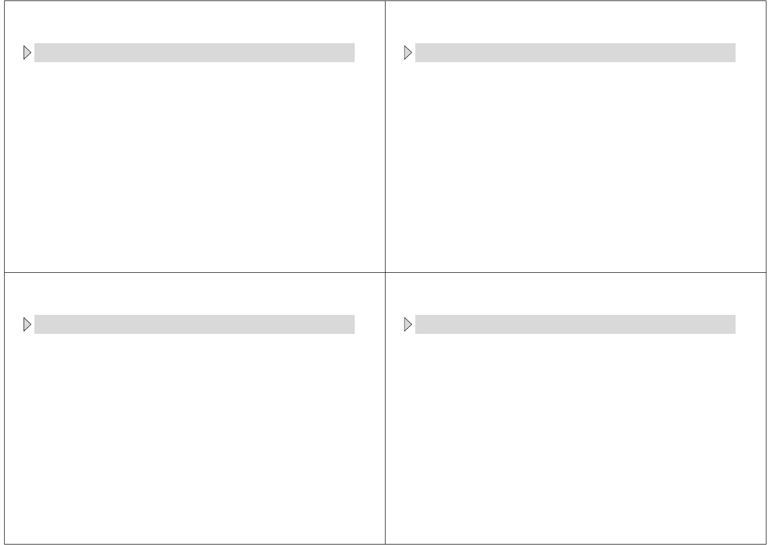| $\begin{array}{c} \diagup \end{array}$ | $\triangleright$ |
|----------------------------------------|------------------|
|                                        |                  |
|                                        |                  |
|                                        |                  |
| $\begin{array}{c} \diagup \end{array}$ | $\triangleright$ |
|                                        |                  |
|                                        |                  |